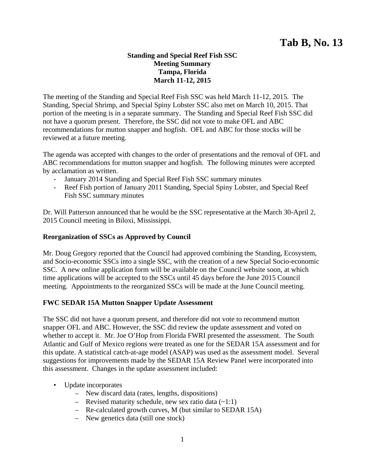## **Standing and Special Reef Fish SSC Meeting Summary Tampa, Florida March 11-12, 2015**

The meeting of the Standing and Special Reef Fish SSC was held March 11-12, 2015. The Standing, Special Shrimp, and Special Spiny Lobster SSC also met on March 10, 2015. That portion of the meeting is in a separate summary. The Standing and Special Reef Fish SSC did not have a quorum present. Therefore, the SSC did not vote to make OFL and ABC recommendations for mutton snapper and hogfish. OFL and ABC for those stocks will be reviewed at a future meeting.

The agenda was accepted with changes to the order of presentations and the removal of OFL and ABC recommendations for mutton snapper and hogfish. The following minutes were accepted by acclamation as written.

- January 2014 Standing and Special Reef Fish SSC summary minutes
- Reef Fish portion of January 2011 Standing, Special Spiny Lobster, and Special Reef Fish SSC summary minutes

Dr. Will Patterson announced that he would be the SSC representative at the March 30-April 2, 2015 Council meeting in Biloxi, Mississippi.

## **Reorganization of SSCs as Approved by Council**

Mr. Doug Gregory reported that the Council had approved combining the Standing, Ecosystem, and Socio-economic SSCs into a single SSC, with the creation of a new Special Socio-economic SSC. A new online application form will be available on the Council website soon, at which time applications will be accepted to the SSCs until 45 days before the June 2015 Council meeting. Appointments to the reorganized SSCs will be made at the June Council meeting.

### **FWC SEDAR 15A Mutton Snapper Update Assessment**

The SSC did not have a quorum present, and therefore did not vote to recommend mutton snapper OFL and ABC. However, the SSC did review the update assessment and voted on whether to accept it. Mr. Joe O'Hop from Florida FWRI presented the assessment. The South Atlantic and Gulf of Mexico regions were treated as one for the SEDAR 15A assessment and for this update. A statistical catch-at-age model (ASAP) was used as the assessment model. Several suggestions for improvements made by the SEDAR 15A Review Panel were incorporated into this assessment. Changes in the update assessment included:

- Update incorporates
	- New discard data (rates, lengths, dispositions)
	- Revised maturity schedule, new sex ratio data  $(-1:1)$
	- Re-calculated growth curves, M (but similar to SEDAR 15A)
	- New genetics data (still one stock)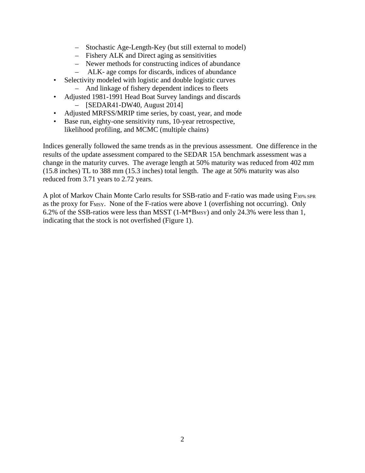- Stochastic Age-Length-Key (but still external to model)
- Fishery ALK and Direct aging as sensitivities
- Newer methods for constructing indices of abundance
- ALK- age comps for discards, indices of abundance
- Selectivity modeled with logistic and double logistic curves – And linkage of fishery dependent indices to fleets
- Adjusted 1981-1991 Head Boat Survey landings and discards – [SEDAR41-DW40, August 2014]
- Adjusted MRFSS/MRIP time series, by coast, year, and mode
- Base run, eighty-one sensitivity runs, 10-year retrospective, likelihood profiling, and MCMC (multiple chains)

Indices generally followed the same trends as in the previous assessment. One difference in the results of the update assessment compared to the SEDAR 15A benchmark assessment was a change in the maturity curves. The average length at 50% maturity was reduced from 402 mm (15.8 inches) TL to 388 mm (15.3 inches) total length. The age at 50% maturity was also reduced from 3.71 years to 2.72 years.

A plot of Markov Chain Monte Carlo results for SSB-ratio and F-ratio was made using F30% SPR as the proxy for F<sub>MSY</sub>. None of the F-ratios were above 1 (overfishing not occurring). Only 6.2% of the SSB-ratios were less than MSST  $(1-M*B_{MSY})$  and only 24.3% were less than 1, indicating that the stock is not overfished (Figure 1).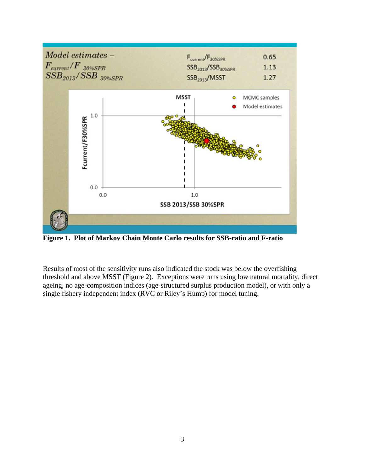

**Figure 1. Plot of Markov Chain Monte Carlo results for SSB-ratio and F-ratio** 

Results of most of the sensitivity runs also indicated the stock was below the overfishing threshold and above MSST (Figure 2). Exceptions were runs using low natural mortality, direct ageing, no age-composition indices (age-structured surplus production model), or with only a single fishery independent index (RVC or Riley's Hump) for model tuning.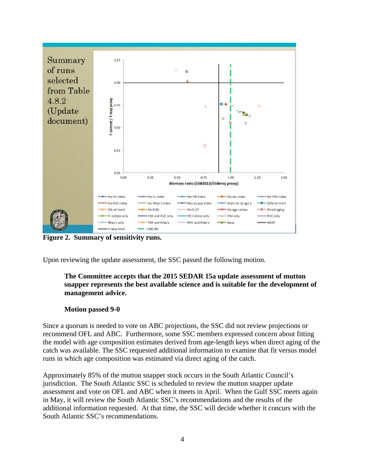

**Figure 2. Summary of sensitivity runs.** 

Upon reviewing the update assessment, the SSC passed the following motion.

## **The Committee accepts that the 2015 SEDAR 15a update assessment of mutton snapper represents the best available science and is suitable for the development of management advice.**

### **Motion passed 9-0**

Since a quorum is needed to vote on ABC projections, the SSC did not review projections or recommend OFL and ABC. Furthermore, some SSC members expressed concern about fitting the model with age composition estimates derived from age-length keys when direct aging of the catch was available. The SSC requested additional information to examine that fit versus model runs in which age composition was estimated via direct aging of the catch.

Approximately 85% of the mutton snapper stock occurs in the South Atlantic Council's jurisdiction. The South Atlantic SSC is scheduled to review the mutton snapper update assessment and vote on OFL and ABC when it meets in April. When the Gulf SSC meets again in May, it will review the South Atlantic SSC's recommendations and the results of the additional information requested. At that time, the SSC will decide whether it concurs with the South Atlantic SSC's recommendations.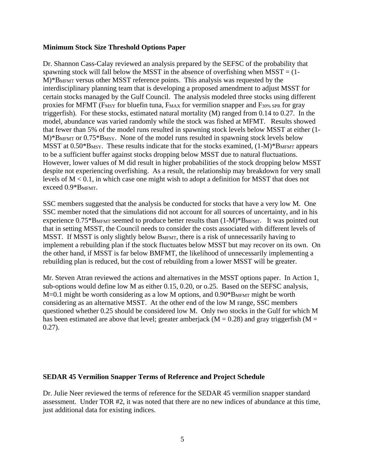#### **Minimum Stock Size Threshold Options Paper**

Dr. Shannon Cass-Calay reviewed an analysis prepared by the SEFSC of the probability that spawning stock will fall below the MSST in the absence of overfishing when  $M<sub>SST</sub> = (1 -$ M)\*BMFMT versus other MSST reference points. This analysis was requested by the interdisciplinary planning team that is developing a proposed amendment to adjust MSST for certain stocks managed by the Gulf Council. The analysis modeled three stocks using different proxies for MFMT (F<sub>MSY</sub> for bluefin tuna, F<sub>MAX</sub> for vermilion snapper and F<sub>30%</sub> SPR for gray triggerfish). For these stocks, estimated natural mortality (M) ranged from 0.14 to 0.27. In the model, abundance was varied randomly while the stock was fished at MFMT. Results showed that fewer than 5% of the model runs resulted in spawning stock levels below MSST at either (1- M)\*B<sub>MFMT</sub> or 0.75\*B<sub>MSY</sub>. None of the model runs resulted in spawning stock levels below MSST at  $0.50*B_{MSY}$ . These results indicate that for the stocks examined,  $(1-M)*B_{MFMT}$  appears to be a sufficient buffer against stocks dropping below MSST due to natural fluctuations. However, lower values of M did result in higher probabilities of the stock dropping below MSST despite not experiencing overfishing. As a result, the relationship may breakdown for very small levels of M < 0.1, in which case one might wish to adopt a definition for MSST that does not exceed 0.9\*BMFMT.

SSC members suggested that the analysis be conducted for stocks that have a very low M. One SSC member noted that the simulations did not account for all sources of uncertainty, and in his experience  $0.75*B<sub>MFMT</sub>$  seemed to produce better results than  $(1-M)*B<sub>MFMT</sub>$ . It was pointed out that in setting MSST, the Council needs to consider the costs associated with different levels of MSST. If MSST is only slightly below BMFMT, there is a risk of unnecessarily having to implement a rebuilding plan if the stock fluctuates below MSST but may recover on its own. On the other hand, if MSST is far below BMFMT, the likelihood of unnecessarily implementing a rebuilding plan is reduced, but the cost of rebuilding from a lower MSST will be greater.

Mr. Steven Atran reviewed the actions and alternatives in the MSST options paper. In Action 1, sub-options would define low M as either 0.15, 0.20, or o.25. Based on the SEFSC analysis,  $M=0.1$  might be worth considering as a low M options, and  $0.90*B<sub>MFMT</sub>$  might be worth considering as an alternative MSST. At the other end of the low M range, SSC members questioned whether 0.25 should be considered low M. Only two stocks in the Gulf for which M has been estimated are above that level; greater amberjack ( $M = 0.28$ ) and gray triggerfish ( $M =$ 0.27).

#### **SEDAR 45 Vermilion Snapper Terms of Reference and Project Schedule**

Dr. Julie Neer reviewed the terms of reference for the SEDAR 45 vermilion snapper standard assessment. Under TOR #2, it was noted that there are no new indices of abundance at this time, just additional data for existing indices.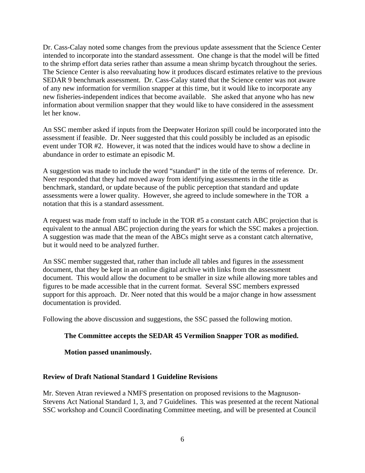Dr. Cass-Calay noted some changes from the previous update assessment that the Science Center intended to incorporate into the standard assessment. One change is that the model will be fitted to the shrimp effort data series rather than assume a mean shrimp bycatch throughout the series. The Science Center is also reevaluating how it produces discard estimates relative to the previous SEDAR 9 benchmark assessment. Dr. Cass-Calay stated that the Science center was not aware of any new information for vermilion snapper at this time, but it would like to incorporate any new fisheries-independent indices that become available. She asked that anyone who has new information about vermilion snapper that they would like to have considered in the assessment let her know.

An SSC member asked if inputs from the Deepwater Horizon spill could be incorporated into the assessment if feasible. Dr. Neer suggested that this could possibly be included as an episodic event under TOR #2. However, it was noted that the indices would have to show a decline in abundance in order to estimate an episodic M.

A suggestion was made to include the word "standard" in the title of the terms of reference. Dr. Neer responded that they had moved away from identifying assessments in the title as benchmark, standard, or update because of the public perception that standard and update assessments were a lower quality. However, she agreed to include somewhere in the TOR a notation that this is a standard assessment.

A request was made from staff to include in the TOR #5 a constant catch ABC projection that is equivalent to the annual ABC projection during the years for which the SSC makes a projection. A suggestion was made that the mean of the ABCs might serve as a constant catch alternative, but it would need to be analyzed further.

An SSC member suggested that, rather than include all tables and figures in the assessment document, that they be kept in an online digital archive with links from the assessment document. This would allow the document to be smaller in size while allowing more tables and figures to be made accessible that in the current format. Several SSC members expressed support for this approach. Dr. Neer noted that this would be a major change in how assessment documentation is provided.

Following the above discussion and suggestions, the SSC passed the following motion.

## **The Committee accepts the SEDAR 45 Vermilion Snapper TOR as modified.**

**Motion passed unanimously.** 

### **Review of Draft National Standard 1 Guideline Revisions**

Mr. Steven Atran reviewed a NMFS presentation on proposed revisions to the Magnuson-Stevens Act National Standard 1, 3, and 7 Guidelines. This was presented at the recent National SSC workshop and Council Coordinating Committee meeting, and will be presented at Council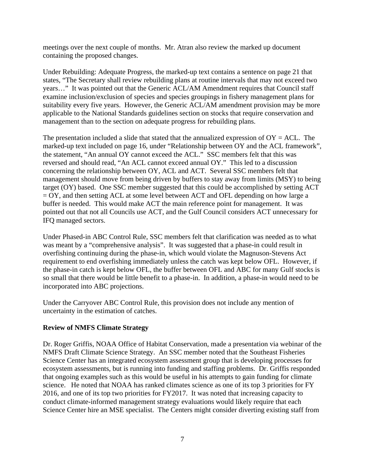meetings over the next couple of months. Mr. Atran also review the marked up document containing the proposed changes.

Under Rebuilding: Adequate Progress, the marked-up text contains a sentence on page 21 that states, "The Secretary shall review rebuilding plans at routine intervals that may not exceed two years…" It was pointed out that the Generic ACL/AM Amendment requires that Council staff examine inclusion/exclusion of species and species groupings in fishery management plans for suitability every five years. However, the Generic ACL/AM amendment provision may be more applicable to the National Standards guidelines section on stocks that require conservation and management than to the section on adequate progress for rebuilding plans.

The presentation included a slide that stated that the annualized expression of  $OY = ACL$ . The marked-up text included on page 16, under "Relationship between OY and the ACL framework", the statement, "An annual OY cannot exceed the ACL." SSC members felt that this was reversed and should read, "An ACL cannot exceed annual OY." This led to a discussion concerning the relationship between OY, ACL and ACT. Several SSC members felt that management should move from being driven by buffers to stay away from limits (MSY) to being target (OY) based. One SSC member suggested that this could be accomplished by setting ACT = OY, and then setting ACL at some level between ACT and OFL depending on how large a buffer is needed. This would make ACT the main reference point for management. It was pointed out that not all Councils use ACT, and the Gulf Council considers ACT unnecessary for IFQ managed sectors.

Under Phased-in ABC Control Rule, SSC members felt that clarification was needed as to what was meant by a "comprehensive analysis". It was suggested that a phase-in could result in overfishing continuing during the phase-in, which would violate the Magnuson-Stevens Act requirement to end overfishing immediately unless the catch was kept below OFL. However, if the phase-in catch is kept below OFL, the buffer between OFL and ABC for many Gulf stocks is so small that there would be little benefit to a phase-in. In addition, a phase-in would need to be incorporated into ABC projections.

Under the Carryover ABC Control Rule, this provision does not include any mention of uncertainty in the estimation of catches.

## **Review of NMFS Climate Strategy**

Dr. Roger Griffis, NOAA Office of Habitat Conservation, made a presentation via webinar of the NMFS Draft Climate Science Strategy. An SSC member noted that the Southeast Fisheries Science Center has an integrated ecosystem assessment group that is developing processes for ecosystem assessments, but is running into funding and staffing problems. Dr. Griffis responded that ongoing examples such as this would be useful in his attempts to gain funding for climate science. He noted that NOAA has ranked climates science as one of its top 3 priorities for FY 2016, and one of its top two priorities for FY2017. It was noted that increasing capacity to conduct climate-informed management strategy evaluations would likely require that each Science Center hire an MSE specialist. The Centers might consider diverting existing staff from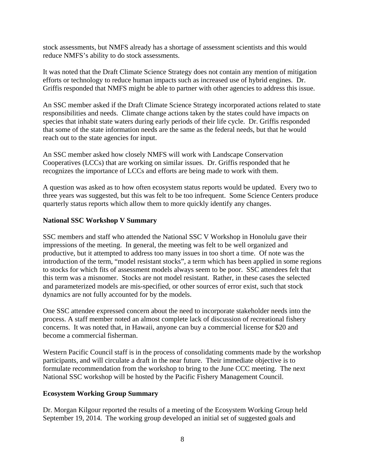stock assessments, but NMFS already has a shortage of assessment scientists and this would reduce NMFS's ability to do stock assessments.

It was noted that the Draft Climate Science Strategy does not contain any mention of mitigation efforts or technology to reduce human impacts such as increased use of hybrid engines. Dr. Griffis responded that NMFS might be able to partner with other agencies to address this issue.

An SSC member asked if the Draft Climate Science Strategy incorporated actions related to state responsibilities and needs. Climate change actions taken by the states could have impacts on species that inhabit state waters during early periods of their life cycle. Dr. Griffis responded that some of the state information needs are the same as the federal needs, but that he would reach out to the state agencies for input.

An SSC member asked how closely NMFS will work with Landscape Conservation Cooperatives (LCCs) that are working on similar issues. Dr. Griffis responded that he recognizes the importance of LCCs and efforts are being made to work with them.

A question was asked as to how often ecosystem status reports would be updated. Every two to three years was suggested, but this was felt to be too infrequent. Some Science Centers produce quarterly status reports which allow them to more quickly identify any changes.

## **National SSC Workshop V Summary**

SSC members and staff who attended the National SSC V Workshop in Honolulu gave their impressions of the meeting. In general, the meeting was felt to be well organized and productive, but it attempted to address too many issues in too short a time. Of note was the introduction of the term, "model resistant stocks", a term which has been applied in some regions to stocks for which fits of assessment models always seem to be poor. SSC attendees felt that this term was a misnomer. Stocks are not model resistant. Rather, in these cases the selected and parameterized models are mis-specified, or other sources of error exist, such that stock dynamics are not fully accounted for by the models.

One SSC attendee expressed concern about the need to incorporate stakeholder needs into the process. A staff member noted an almost complete lack of discussion of recreational fishery concerns. It was noted that, in Hawaii, anyone can buy a commercial license for \$20 and become a commercial fisherman.

Western Pacific Council staff is in the process of consolidating comments made by the workshop participants, and will circulate a draft in the near future. Their immediate objective is to formulate recommendation from the workshop to bring to the June CCC meeting. The next National SSC workshop will be hosted by the Pacific Fishery Management Council.

### **Ecosystem Working Group Summary**

Dr. Morgan Kilgour reported the results of a meeting of the Ecosystem Working Group held September 19, 2014. The working group developed an initial set of suggested goals and